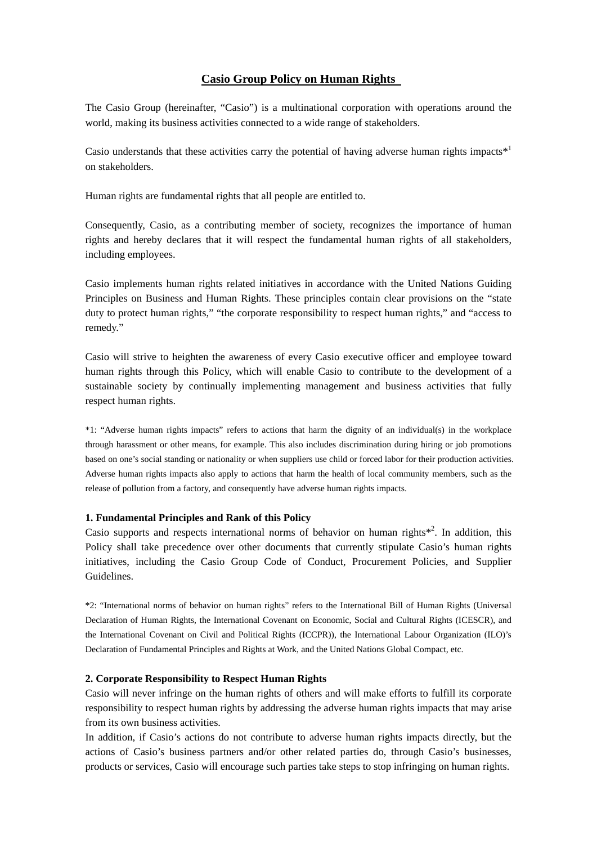# **Casio Group Policy on Human Rights**

The Casio Group (hereinafter, "Casio") is a multinational corporation with operations around the world, making its business activities connected to a wide range of stakeholders.

Casio understands that these activities carry the potential of having adverse human rights impacts<sup> $*1$ </sup> on stakeholders.

Human rights are fundamental rights that all people are entitled to.

Consequently, Casio, as a contributing member of society, recognizes the importance of human rights and hereby declares that it will respect the fundamental human rights of all stakeholders, including employees.

Casio implements human rights related initiatives in accordance with the United Nations Guiding Principles on Business and Human Rights. These principles contain clear provisions on the "state duty to protect human rights," "the corporate responsibility to respect human rights," and "access to remedy."

Casio will strive to heighten the awareness of every Casio executive officer and employee toward human rights through this Policy, which will enable Casio to contribute to the development of a sustainable society by continually implementing management and business activities that fully respect human rights.

\*1: "Adverse human rights impacts" refers to actions that harm the dignity of an individual(s) in the workplace through harassment or other means, for example. This also includes discrimination during hiring or job promotions based on one's social standing or nationality or when suppliers use child or forced labor for their production activities. Adverse human rights impacts also apply to actions that harm the health of local community members, such as the release of pollution from a factory, and consequently have adverse human rights impacts.

### **1. Fundamental Principles and Rank of this Policy**

Casio supports and respects international norms of behavior on human rights $*^2$ . In addition, this Policy shall take precedence over other documents that currently stipulate Casio's human rights initiatives, including the Casio Group Code of Conduct, Procurement Policies, and Supplier Guidelines.

\*2: "International norms of behavior on human rights" refers to the International Bill of Human Rights (Universal Declaration of Human Rights, the International Covenant on Economic, Social and Cultural Rights (ICESCR), and the International Covenant on Civil and Political Rights (ICCPR)), the International Labour Organization (ILO)'s Declaration of Fundamental Principles and Rights at Work, and the United Nations Global Compact, etc.

### **2. Corporate Responsibility to Respect Human Rights**

Casio will never infringe on the human rights of others and will make efforts to fulfill its corporate responsibility to respect human rights by addressing the adverse human rights impacts that may arise from its own business activities.

In addition, if Casio's actions do not contribute to adverse human rights impacts directly, but the actions of Casio's business partners and/or other related parties do, through Casio's businesses, products or services, Casio will encourage such parties take steps to stop infringing on human rights.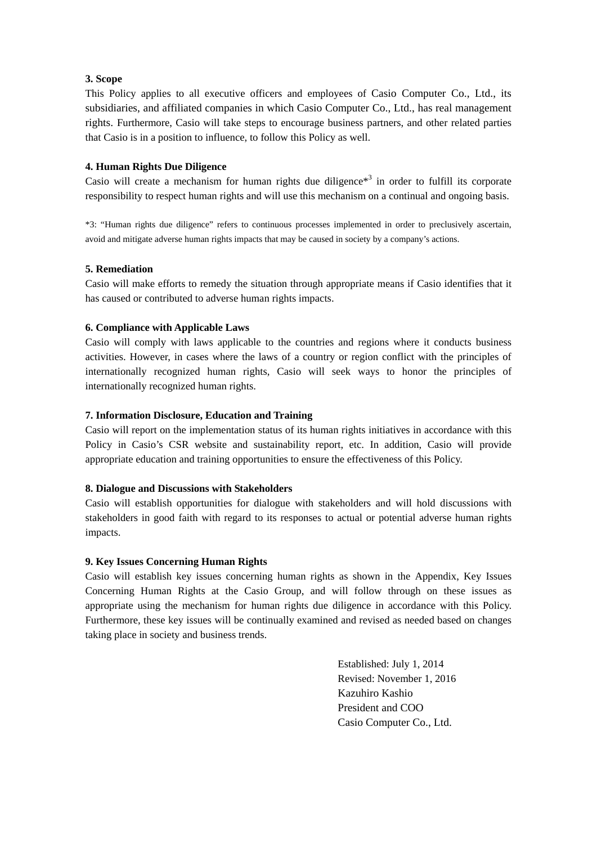## **3. Scope**

This Policy applies to all executive officers and employees of Casio Computer Co., Ltd., its subsidiaries, and affiliated companies in which Casio Computer Co., Ltd., has real management rights. Furthermore, Casio will take steps to encourage business partners, and other related parties that Casio is in a position to influence, to follow this Policy as well.

## **4. Human Rights Due Diligence**

Casio will create a mechanism for human rights due diligence<sup> $*$ <sup>3</sup> in order to fulfill its corporate</sup> responsibility to respect human rights and will use this mechanism on a continual and ongoing basis.

\*3: "Human rights due diligence" refers to continuous processes implemented in order to preclusively ascertain, avoid and mitigate adverse human rights impacts that may be caused in society by a company's actions.

### **5. Remediation**

Casio will make efforts to remedy the situation through appropriate means if Casio identifies that it has caused or contributed to adverse human rights impacts.

### **6. Compliance with Applicable Laws**

Casio will comply with laws applicable to the countries and regions where it conducts business activities. However, in cases where the laws of a country or region conflict with the principles of internationally recognized human rights, Casio will seek ways to honor the principles of internationally recognized human rights.

## **7. Information Disclosure, Education and Training**

Casio will report on the implementation status of its human rights initiatives in accordance with this Policy in Casio's CSR website and sustainability report, etc. In addition, Casio will provide appropriate education and training opportunities to ensure the effectiveness of this Policy.

### **8. Dialogue and Discussions with Stakeholders**

Casio will establish opportunities for dialogue with stakeholders and will hold discussions with stakeholders in good faith with regard to its responses to actual or potential adverse human rights impacts.

## **9. Key Issues Concerning Human Rights**

Casio will establish key issues concerning human rights as shown in the Appendix, Key Issues Concerning Human Rights at the Casio Group, and will follow through on these issues as appropriate using the mechanism for human rights due diligence in accordance with this Policy. Furthermore, these key issues will be continually examined and revised as needed based on changes taking place in society and business trends.

> Established: July 1, 2014 Revised: November 1, 2016 Kazuhiro Kashio President and COO Casio Computer Co., Ltd.